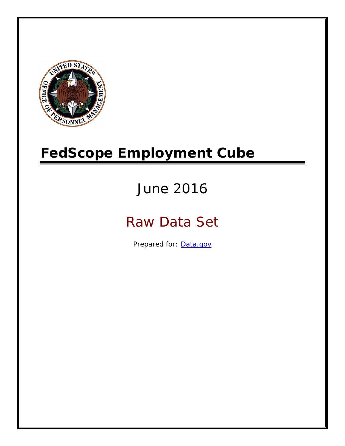

# **FedScope Employment Cube**

# June 2016

# Raw Data Set

Prepared for: [Data.gov](http://www.data.gov/)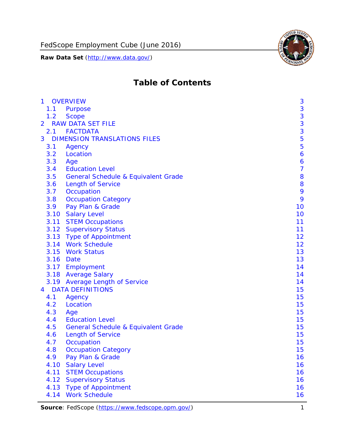

# **Table of Contents**

| $\mathbf{1}$   |      | <b>OVERVIEW</b>                                | 3              |
|----------------|------|------------------------------------------------|----------------|
|                | 1.1  | Purpose                                        | 3              |
|                | 1.2  | <b>Scope</b>                                   | 3              |
| $\overline{2}$ |      | <b>RAW DATA SET FILE</b>                       | 3              |
|                | 2.1  | <b>FACTDATA</b>                                | 3              |
| 3              |      | <b>DIMENSION TRANSLATIONS FILES</b>            | 5              |
|                | 3.1  | Agency                                         | 5              |
|                | 3.2  | Location                                       | 6              |
|                | 3.3  | Age                                            | 6              |
|                | 3.4  | <b>Education Level</b>                         | $\overline{7}$ |
|                | 3.5  | <b>General Schedule &amp; Equivalent Grade</b> | 8              |
|                | 3.6  | <b>Length of Service</b>                       | 8              |
|                | 3.7  | Occupation                                     | 9              |
|                | 3.8  | <b>Occupation Category</b>                     | 9              |
|                | 3.9  | Pay Plan & Grade                               | 10             |
|                | 3.10 | <b>Salary Level</b>                            | 10             |
|                | 3.11 | <b>STEM Occupations</b>                        | 11             |
|                |      | 3.12 Supervisory Status                        | 11             |
|                |      | 3.13 Type of Appointment                       | 12             |
|                |      | 3.14 Work Schedule                             | 12             |
|                | 3.15 | <b>Work Status</b>                             | 13             |
|                |      | 3.16 Date                                      | 13             |
|                |      | 3.17 Employment                                | 14             |
|                |      | 3.18 Average Salary                            | 14             |
|                | 3.19 | <b>Average Length of Service</b>               | 14             |
| $\overline{4}$ |      | <b>DATA DEFINITIONS</b>                        | 15             |
|                | 4.1  | Agency                                         | 15             |
|                | 4.2  | Location                                       | 15             |
|                | 4.3  | Age                                            | 15             |
|                | 4.4  | <b>Education Level</b>                         | 15             |
|                | 4.5  | <b>General Schedule &amp; Equivalent Grade</b> | 15             |
|                | 4.6  | <b>Length of Service</b>                       | 15             |
|                | 4.7  | Occupation                                     | 15             |
|                | 4.8  | <b>Occupation Category</b>                     | 15             |
|                | 4.9  | Pay Plan & Grade                               | 16             |
|                | 4.10 | <b>Salary Level</b>                            | 16             |
|                | 4.11 | <b>STEM Occupations</b>                        | 16             |
|                | 4.12 | <b>Supervisory Status</b>                      | 16             |
|                | 4.13 | <b>Type of Appointment</b>                     | 16             |
|                | 4.14 | <b>Work Schedule</b>                           | 16             |

Source: FedScope (https://www.fedscope.opm.gov/) 1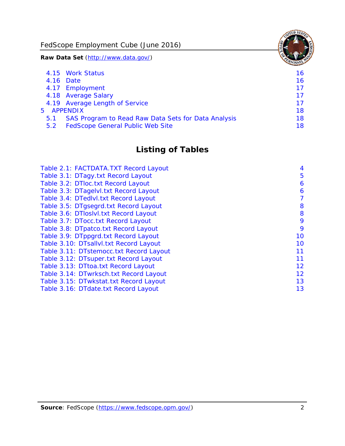FedScope Employment Cube (June 2016)

**Raw Data Set** (http://www.data.gov/)

|     | 4.15 Work Status                                    | 16 |
|-----|-----------------------------------------------------|----|
|     | 4.16 Date                                           | 16 |
|     | 4.17 Employment                                     | 17 |
|     | 4.18 Average Salary                                 | 17 |
|     | 4.19 Average Length of Service                      | 17 |
|     | 5 APPENDIX                                          | 18 |
| 5.1 | SAS Program to Read Raw Data Sets for Data Analysis | 18 |
| 5.2 | <b>FedScope General Public Web Site</b>             | 18 |

# **Listing of Tables**

| Table 2.1: FACTDATA.TXT Record Layout   | 4  |
|-----------------------------------------|----|
| Table 3.1: DTagy.txt Record Layout      | 5  |
| Table 3.2: DTloc.txt Record Layout      | 6  |
| Table 3.3: DTagelvl.txt Record Layout   | 6  |
| Table 3.4: DTedlvl.txt Record Layout    | 7  |
| Table 3.5: DTgsegrd.txt Record Layout   | 8  |
| Table 3.6: DTIoslyl.txt Record Layout   | 8  |
| Table 3.7: DTocc.txt Record Layout      | 9  |
| Table 3.8: DTpatco.txt Record Layout    | 9  |
| Table 3.9: DTppgrd.txt Record Layout    | 10 |
| Table 3.10: DTsallvl.txt Record Layout  | 10 |
| Table 3.11: DTstemocc.txt Record Layout | 11 |
| Table 3.12: DTsuper.txt Record Layout   | 11 |
| Table 3.13: DTtoa.txt Record Layout     | 12 |
| Table 3.14: DTwrksch.txt Record Layout  | 12 |
| Table 3.15: DTwkstat.txt Record Layout  | 13 |
| Table 3.16: DTdate.txt Record Layout    | 13 |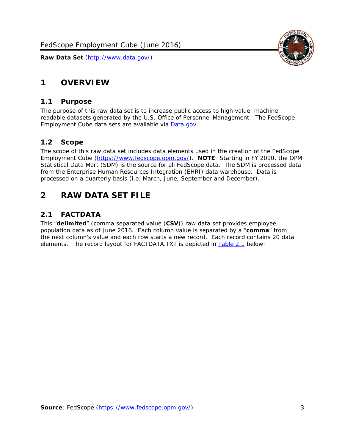

# <span id="page-3-0"></span>**1 OVERVIEW**

#### *1.1 Purpose*

<span id="page-3-1"></span>The purpose of this raw data set is to increase public access to high value, machine readable datasets generated by the U.S. Office of Personnel Management. The FedScope Employment Cube data sets are available via [Data.gov](http://www.data.gov/).

#### <span id="page-3-2"></span>*1.2 Scope*

The scope of this raw data set includes data elements used in the creation of the FedScope Employment Cube [\(https://www.fedscope.opm.gov/\)](https://www.fedscope.opm.gov/). **NOTE**: Starting in FY 2010, the OPM Statistical Data Mart (SDM) is the source for all FedScope data. The SDM is processed data from the Enterprise Human Resources Integration (EHRI) data warehouse. Data is processed on a quarterly basis (i.e. March, June, September and December).

# <span id="page-3-3"></span>**2 RAW DATA SET FILE**

# <span id="page-3-4"></span>*2.1 FACTDATA*

This "**delimited**" (comma separated value (**CSV**)) raw data set provides employee population data as of June 2016. Each column value is separated by a "**comma**" from the next column's value and each row starts a new record. Each record contains 20 data elements. The record layout for FACTDATA.TXT is depicted in [Table 2.1](#page-4-1) below: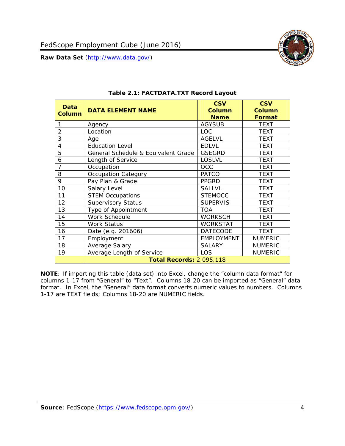<span id="page-4-1"></span><span id="page-4-0"></span>

**NOTE**: If importing this table (data set) into Excel, change the "column data format" for columns 1-17 from "General" to "Text". Columns 18-20 can be imported as "General" data format. In Excel, the "General" data format converts numeric values to numbers. Columns 1-17 are TEXT fields; Columns 18-20 are NUMERIC fields.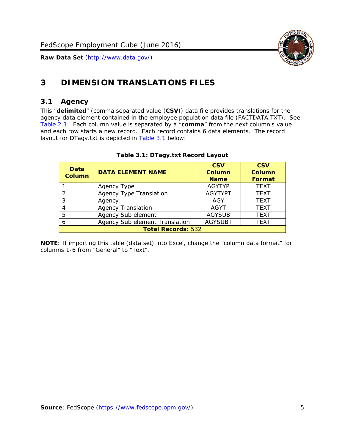

# <span id="page-5-0"></span>**3 DIMENSION TRANSLATIONS FILES**

#### <span id="page-5-1"></span>*3.1 Agency*

<span id="page-5-3"></span><span id="page-5-2"></span>This "**delimited**" (comma separated value (**CSV**)) data file provides translations for the agency data element contained in the employee population data file (FACTDATA.TXT). See [Table 2.1.](#page-4-1) Each column value is separated by a "**comma**" from the next column's value and each row starts a new record. Each record contains 6 data elements. The record layout for DTagy.txt is depicted in **Table 3.1** below:

| Data<br><b>Column</b>     | <b>DATA ELEMENT NAME</b>       | <b>CSV</b><br><b>Column</b><br><b>Name</b> | <b>CSV</b><br>Column<br><b>Format</b> |
|---------------------------|--------------------------------|--------------------------------------------|---------------------------------------|
|                           | Agency Type                    | <b>AGYTYP</b>                              | <b>TEXT</b>                           |
| 2                         | <b>Agency Type Translation</b> | <b>AGYTYPT</b>                             | <b>TEXT</b>                           |
| 3                         | Agency                         | AGY                                        | <b>TEXT</b>                           |
| 4                         | <b>Agency Translation</b>      | <b>AGYT</b>                                | <b>TEXT</b>                           |
| 5                         | Agency Sub element             | <b>AGYSUB</b>                              | <b>TEXT</b>                           |
| 6                         | Agency Sub element Translation | <b>AGYSUBT</b>                             | <b>TEXT</b>                           |
| <b>Total Records: 532</b> |                                |                                            |                                       |

#### **Table 3.1: DTagy.txt Record Layout**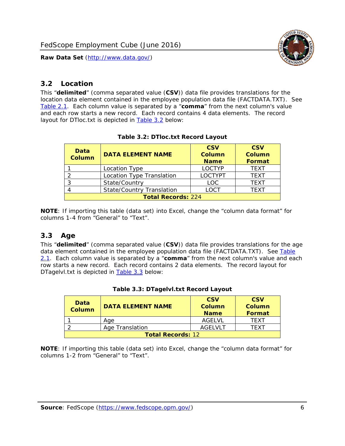

#### <span id="page-6-0"></span>*3.2 Location*

<span id="page-6-4"></span><span id="page-6-2"></span>This "**delimited**" (comma separated value (**CSV**)) data file provides translations for the location data element contained in the employee population data file (FACTDATA.TXT). See [Table 2.1.](#page-4-1) Each column value is separated by a "**comma**" from the next column's value and each row starts a new record. Each record contains 4 data elements. The record layout for DTloc.txt is depicted in [Table 3.2](#page-6-4) below:

| Data<br><b>Column</b>     | <b>DATA ELEMENT NAME</b>         | <b>CSV</b><br><b>Column</b><br><b>Name</b> | <b>CSV</b><br><b>Column</b><br><b>Format</b> |
|---------------------------|----------------------------------|--------------------------------------------|----------------------------------------------|
|                           | Location Type                    | <b>LOCTYP</b>                              | <b>TEXT</b>                                  |
|                           | Location Type Translation        | <b>LOCTYPT</b>                             | <b>TFXT</b>                                  |
| ⌒                         | State/Country                    | <b>LOC</b>                                 | <b>TFXT</b>                                  |
|                           | <b>State/Country Translation</b> | LOCT                                       | <b>TFXT</b>                                  |
| <b>Total Records: 224</b> |                                  |                                            |                                              |

#### **Table 3.2: DTloc.txt Record Layout**

**NOTE**: If importing this table (data set) into Excel, change the "column data format" for columns 1-4 from "General" to "Text".

#### <span id="page-6-1"></span>*3.3 Age*

<span id="page-6-5"></span><span id="page-6-3"></span>This "**delimited**" (comma separated value (**CSV**)) data file provides translations for the age data element contained in the employee population data file (FACTDATA.TXT). See [Table](#page-4-1) [2.1](#page-4-1). Each column value is separated by a "**comma**" from the next column's value and each row starts a new record. Each record contains 2 data elements. The record layout for DTagelvl.txt is depicted in **[Table 3.3](#page-6-5)** below:

| Data<br><b>Column</b>    | <b>DATA ELEMENT NAME</b> | <b>CSV</b><br>Column<br><b>Name</b> | <b>CSV</b><br>Column<br><b>Format</b> |
|--------------------------|--------------------------|-------------------------------------|---------------------------------------|
|                          | Aae                      | AGFI VI                             | TFXT                                  |
|                          | Age Translation          | AGFI VI T                           | TFXT                                  |
| <b>Total Records: 12</b> |                          |                                     |                                       |

#### **Table 3.3: DTagelvl.txt Record Layout**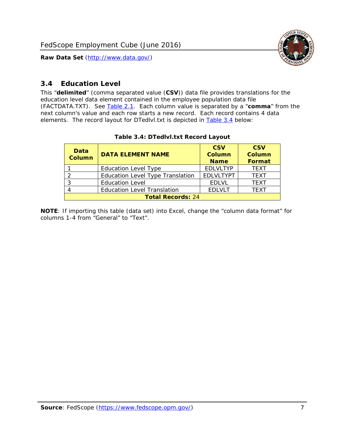

### <span id="page-7-0"></span>*3.4 Education Level*

<span id="page-7-2"></span><span id="page-7-1"></span>This "**delimited**" (comma separated value (**CSV**)) data file provides translations for the education level data element contained in the employee population data file (FACTDATA.TXT). See [Table 2.1](#page-4-1). Each column value is separated by a "**comma**" from the next column's value and each row starts a new record. Each record contains 4 data elements. The record layout for DTedlvl.txt is depicted in [Table 3.4](#page-7-2) below:

| Data<br><b>Column</b>    | <b>DATA ELEMENT NAME</b>                | <b>CSV</b><br><b>Column</b><br><b>Name</b> | <b>CSV</b><br><b>Column</b><br><b>Format</b> |
|--------------------------|-----------------------------------------|--------------------------------------------|----------------------------------------------|
|                          | <b>Education Level Type</b>             | <b>EDLVLTYP</b>                            | <b>TEXT</b>                                  |
|                          | <b>Education Level Type Translation</b> | <b>EDLVLTYPT</b>                           | <b>TEXT</b>                                  |
|                          | <b>Education Level</b>                  | <b>EDLVL</b>                               | <b>TEXT</b>                                  |
|                          | <b>Education Level Translation</b>      | <b>EDLVLT</b>                              | <b>TEXT</b>                                  |
| <b>Total Records: 24</b> |                                         |                                            |                                              |

#### **Table 3.4: DTedlvl.txt Record Layout**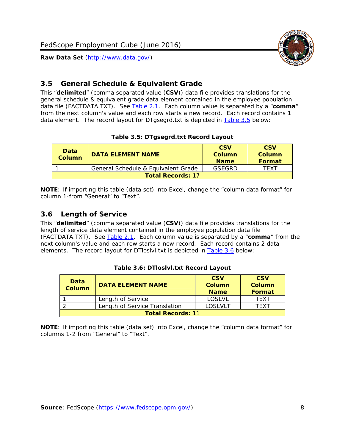

#### <span id="page-8-0"></span>*3.5 General Schedule & Equivalent Grade*

This "**delimited**" (comma separated value (**CSV**)) data file provides translations for the general schedule & equivalent grade data element contained in the employee population data file (FACTDATA.TXT). See [Table 2.1](#page-4-1). Each column value is separated by a "**comma**" from the next column's value and each row starts a new record. Each record contains 1 data element. The record layout for DTgsegrd.txt is depicted in [Table 3.5](#page-8-4) below:

#### **Table 3.5: DTgsegrd.txt Record Layout**

<span id="page-8-4"></span><span id="page-8-2"></span>

| Data<br><b>Column</b>    | DATA FI FMFNT NAMF                  | <b>CSV</b><br>Column<br><b>Name</b> | <b>CSV</b><br>Column<br>Format |
|--------------------------|-------------------------------------|-------------------------------------|--------------------------------|
|                          | General Schedule & Equivalent Grade | GSEGRD                              | TFXT                           |
| <b>Total Records: 17</b> |                                     |                                     |                                |

**NOTE**: If importing this table (data set) into Excel, change the "column data format" for column 1-from "General" to "Text".

#### <span id="page-8-1"></span>*3.6 Length of Service*

<span id="page-8-5"></span><span id="page-8-3"></span>This "**delimited**" (comma separated value (**CSV**)) data file provides translations for the length of service data element contained in the employee population data file (FACTDATA.TXT). See [Table 2.1](#page-4-1). Each column value is separated by a "**comma**" from the next column's value and each row starts a new record. Each record contains 2 data elements. The record layout for DTloslvl.txt is depicted in [Table 3.6](#page-8-5) below:

| Data<br><b>Column</b>    | <b>DATA ELEMENT NAME</b>      | <b>CSV</b><br><b>Column</b><br><b>Name</b> | <b>CSV</b><br>Column<br>Format |
|--------------------------|-------------------------------|--------------------------------------------|--------------------------------|
|                          | Length of Service             | LOSLVL                                     | TFXT                           |
|                          | Length of Service Translation | LOSI VLT                                   | TFXT                           |
| <b>Total Records: 11</b> |                               |                                            |                                |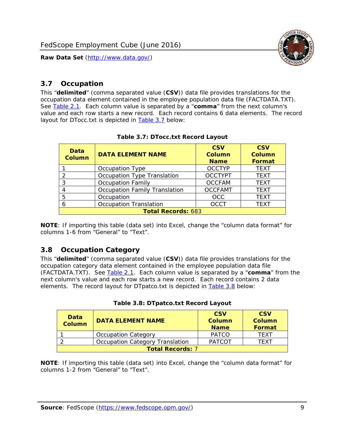

#### <span id="page-9-0"></span>*3.7 Occupation*

<span id="page-9-4"></span>This "**delimited**" (comma separated value (**CSV**)) data file provides translations for the occupation data element contained in the employee population data file (FACTDATA.TXT). See [Table 2.1](#page-4-1). Each column value is separated by a "**comma**" from the next column's value and each row starts a new record. Each record contains 6 data elements. The record layout for DTocc.txt is depicted in [Table 3.7](#page-9-4) below:

<span id="page-9-2"></span>

| Data<br><b>Column</b>     | <b>DATA ELEMENT NAME</b>             | <b>CSV</b><br>Column<br><b>Name</b> | <b>CSV</b><br><b>Column</b><br><b>Format</b> |
|---------------------------|--------------------------------------|-------------------------------------|----------------------------------------------|
|                           | Occupation Type                      | <b>OCCTYP</b>                       | <b>TEXT</b>                                  |
|                           | Occupation Type Translation          | <b>OCCTYPT</b>                      | <b>TEXT</b>                                  |
| ာ                         | <b>Occupation Family</b>             | <b>OCCFAM</b>                       | <b>TEXT</b>                                  |
|                           | <b>Occupation Family Translation</b> | <b>OCCFAMT</b>                      | <b>TEXT</b>                                  |
| 5                         | Occupation                           | <b>OCC</b>                          | <b>TEXT</b>                                  |
|                           | <b>Occupation Translation</b>        | <b>OCCT</b>                         | <b>TEXT</b>                                  |
| <b>Total Records: 683</b> |                                      |                                     |                                              |

#### **Table 3.7: DTocc.txt Record Layout**

**NOTE**: If importing this table (data set) into Excel, change the "column data format" for columns 1-6 from "General" to "Text".

#### <span id="page-9-1"></span>*3.8 Occupation Category*

<span id="page-9-5"></span>This "**delimited**" (comma separated value (**CSV**)) data file provides translations for the occupation category data element contained in the employee population data file (FACTDATA.TXT). See [Table 2.1](#page-4-1). Each column value is separated by a "**comma**" from the next column's value and each row starts a new record. Each record contains 2 data elements. The record layout for DTpatco.txt is depicted in [Table 3.8](#page-9-5) below:

<span id="page-9-3"></span>

| Data<br><b>Column</b>   | <b>DATA ELEMENT NAME</b>        | <b>CSV</b><br>Column<br><b>Name</b> | <b>CSV</b><br>Column<br>Format |  |
|-------------------------|---------------------------------|-------------------------------------|--------------------------------|--|
|                         | <b>Occupation Category</b>      | <b>PATCO</b>                        | <b>TFXT</b>                    |  |
|                         | Occupation Category Translation | <b>PATCOT</b>                       | TFXT                           |  |
| <b>Total Records: 7</b> |                                 |                                     |                                |  |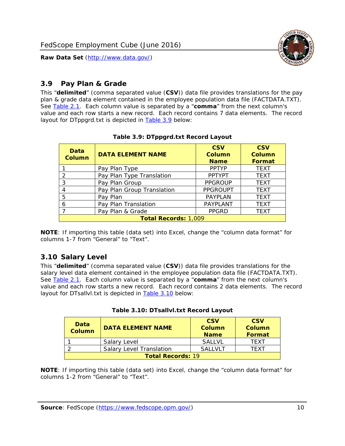

## <span id="page-10-0"></span>*3.9 Pay Plan & Grade*

<span id="page-10-4"></span>This "**delimited**" (comma separated value (**CSV**)) data file provides translations for the pay plan & grade data element contained in the employee population data file (FACTDATA.TXT). See [Table 2.1](#page-4-1). Each column value is separated by a "**comma**" from the next column's value and each row starts a new record. Each record contains 7 data elements. The record layout for DTppgrd.txt is depicted in **Table 3.9** below:

<span id="page-10-2"></span>

| Data<br>Column              | <b>DATA ELEMENT NAME</b>   | <b>CSV</b><br>Column<br><b>Name</b> | <b>CSV</b><br><b>Column</b><br><b>Format</b> |  |
|-----------------------------|----------------------------|-------------------------------------|----------------------------------------------|--|
|                             | Pay Plan Type              | <b>PPTYP</b>                        | <b>TEXT</b>                                  |  |
| $\mathcal{P}$               | Pay Plan Type Translation  | <b>PPTYPT</b>                       | <b>TEXT</b>                                  |  |
| 3                           | Pay Plan Group             | <b>PPGROUP</b>                      | <b>TEXT</b>                                  |  |
| 4                           | Pay Plan Group Translation | <b>PPGROUPT</b>                     | <b>TEXT</b>                                  |  |
| 5                           | Pay Plan                   | <b>PAYPLAN</b>                      | <b>TEXT</b>                                  |  |
| 6                           | Pay Plan Translation       | PAYPLANT                            | <b>TEXT</b>                                  |  |
|                             | Pay Plan & Grade           | <b>PPGRD</b>                        | <b>TEXT</b>                                  |  |
| <b>Total Records: 1,009</b> |                            |                                     |                                              |  |

#### **Table 3.9: DTppgrd.txt Record Layout**

**NOTE**: If importing this table (data set) into Excel, change the "column data format" for columns 1-7 from "General" to "Text".

# <span id="page-10-1"></span>*3.10 Salary Level*

<span id="page-10-5"></span><span id="page-10-3"></span>This "**delimited**" (comma separated value (**CSV**)) data file provides translations for the salary level data element contained in the employee population data file (FACTDATA.TXT). See [Table 2.1](#page-4-1). Each column value is separated by a "**comma**" from the next column's value and each row starts a new record. Each record contains 2 data elements. The record layout for DTsallvl.txt is depicted in [Table 3.10](#page-10-5) below:

| <b>Data</b><br><b>Column</b> | <b>DATA ELEMENT NAME</b>        | <b>CSV</b><br>Column<br><b>Name</b> | <b>CSV</b><br>Column<br><b>Format</b> |
|------------------------------|---------------------------------|-------------------------------------|---------------------------------------|
|                              | Salary Level                    | <b>SALLVL</b>                       | TFXT                                  |
|                              | <b>Salary Level Translation</b> | SAI I VI T                          | TEXT                                  |
| <b>Total Records: 19</b>     |                                 |                                     |                                       |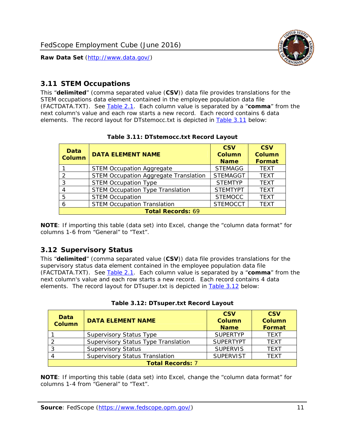

#### <span id="page-11-0"></span>*3.11 STEM Occupations*

<span id="page-11-4"></span>This "**delimited**" (comma separated value (**CSV**)) data file provides translations for the STEM occupations data element contained in the employee population data file (FACTDATA.TXT). See [Table 2.1](#page-4-1). Each column value is separated by a "**comma**" from the next column's value and each row starts a new record. Each record contains 6 data elements. The record layout for DTstemocc.txt is depicted in [Table 3.11](#page-11-4) below:

<span id="page-11-2"></span>

| Data<br><b>Column</b>    | <b>DATA ELEMENT NAME</b>                     | <b>CSV</b><br>Column<br><b>Name</b> | <b>CSV</b><br><b>Column</b><br>Format |  |
|--------------------------|----------------------------------------------|-------------------------------------|---------------------------------------|--|
|                          | <b>STEM Occupation Aggregate</b>             | <b>STEMAGG</b>                      | <b>TEXT</b>                           |  |
|                          | <b>STEM Occupation Aggregate Translation</b> | <b>STEMAGGT</b>                     | <b>TEXT</b>                           |  |
| 3                        | <b>STEM Occupation Type</b>                  | <b>STEMTYP</b>                      | <b>TEXT</b>                           |  |
|                          | <b>STEM Occupation Type Translation</b>      | <b>STEMTYPT</b>                     | <b>TEXT</b>                           |  |
| 5                        | <b>STEM Occupation</b>                       | <b>STEMOCC</b>                      | <b>TEXT</b>                           |  |
|                          | <b>STEM Occupation Translation</b>           | <b>STEMOCCT</b>                     | <b>TEXT</b>                           |  |
| <b>Total Records: 69</b> |                                              |                                     |                                       |  |

#### **Table 3.11: DTstemocc.txt Record Layout**

**NOTE**: If importing this table (data set) into Excel, change the "column data format" for columns 1-6 from "General" to "Text".

# <span id="page-11-1"></span>*3.12 Supervisory Status*

This "**delimited**" (comma separated value (**CSV**)) data file provides translations for the supervisory status data element contained in the employee population data file (FACTDATA.TXT). See [Table 2.1](#page-4-1). Each column value is separated by a "**comma**" from the next column's value and each row starts a new record. Each record contains 4 data elements. The record layout for DTsuper.txt is depicted in [Table 3.12](#page-11-5) below:

<span id="page-11-5"></span><span id="page-11-3"></span>

| Data<br><b>Column</b>   | <b>DATA ELEMENT NAME</b>              | <b>CSV</b><br><b>Column</b><br><b>Name</b> | <b>CSV</b><br><b>Column</b><br><b>Format</b> |  |
|-------------------------|---------------------------------------|--------------------------------------------|----------------------------------------------|--|
|                         | <b>Supervisory Status Type</b>        | <b>SUPFRTYP</b>                            | <b>TEXT</b>                                  |  |
|                         | Supervisory Status Type Translation   | <b>SUPERTYPT</b>                           | <b>TEXT</b>                                  |  |
|                         | <b>Supervisory Status</b>             | <b>SUPERVIS</b>                            | <b>TEXT</b>                                  |  |
|                         | <b>Supervisory Status Translation</b> | <b>SUPERVIST</b>                           | <b>TFXT</b>                                  |  |
| <b>Total Records: 7</b> |                                       |                                            |                                              |  |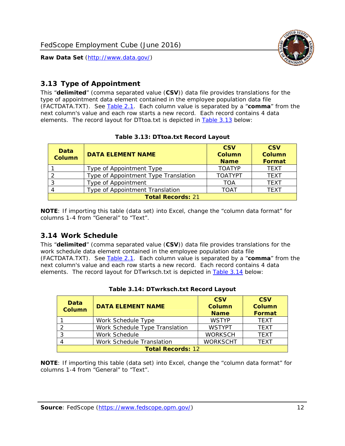

# <span id="page-12-0"></span>*3.13 Type of Appointment*

This "**delimited**" (comma separated value (**CSV**)) data file provides translations for the type of appointment data element contained in the employee population data file (FACTDATA.TXT). See [Table 2.1](#page-4-1). Each column value is separated by a "**comma**" from the next column's value and each row starts a new record. Each record contains 4 data elements. The record layout for DTtoa.txt is depicted in [Table 3.13](#page-12-4) below:

<span id="page-12-4"></span><span id="page-12-2"></span>

| Data<br><b>Column</b>    | <b>DATA ELEMENT NAME</b>             | <b>CSV</b><br><b>Column</b><br><b>Name</b> | <b>CSV</b><br><b>Column</b><br>Format |  |
|--------------------------|--------------------------------------|--------------------------------------------|---------------------------------------|--|
|                          | Type of Appointment Type             | <b>TOATYP</b>                              | <b>TEXT</b>                           |  |
|                          | Type of Appointment Type Translation | <b>TOATYPT</b>                             | <b>TEXT</b>                           |  |
|                          | Type of Appointment                  | TOA                                        | <b>TEXT</b>                           |  |
|                          | Type of Appointment Translation      | <b>TOAT</b>                                | <b>TEXT</b>                           |  |
| <b>Total Records: 21</b> |                                      |                                            |                                       |  |

#### **Table 3.13: DTtoa.txt Record Layout**

**NOTE**: If importing this table (data set) into Excel, change the "column data format" for columns 1-4 from "General" to "Text".

#### <span id="page-12-1"></span>*3.14 Work Schedule*

<span id="page-12-5"></span>This "**delimited**" (comma separated value (**CSV**)) data file provides translations for the work schedule data element contained in the employee population data file (FACTDATA.TXT). See [Table 2.1](#page-4-1). Each column value is separated by a "**comma**" from the next column's value and each row starts a new record. Each record contains 4 data elements. The record layout for DTwrksch.txt is depicted in [Table 3.14](#page-12-5) below:

<span id="page-12-3"></span>

| Data<br>Column           | <b>DATA ELEMENT NAME</b>       | <b>CSV</b><br><b>Column</b><br><b>Name</b> | <b>CSV</b><br>Column<br><b>Format</b> |  |
|--------------------------|--------------------------------|--------------------------------------------|---------------------------------------|--|
|                          | Work Schedule Type             | <b>WSTYP</b>                               | <b>TEXT</b>                           |  |
| 2                        | Work Schedule Type Translation | <b>WSTYPT</b>                              | <b>TFXT</b>                           |  |
| 3                        | Work Schedule                  | <b>WORKSCH</b>                             | <b>TFXT</b>                           |  |
|                          | Work Schedule Translation      | <b>WORKSCHT</b>                            | <b>TFXT</b>                           |  |
| <b>Total Records: 12</b> |                                |                                            |                                       |  |

|  | Table 3.14: DTwrksch.txt Record Layout |  |
|--|----------------------------------------|--|
|  |                                        |  |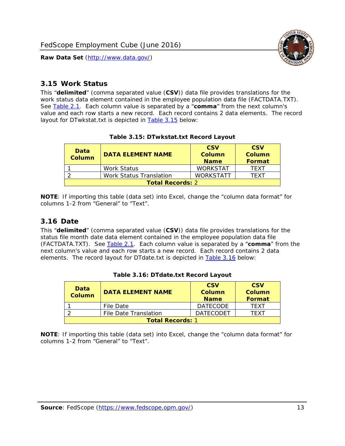

#### <span id="page-13-0"></span>*3.15 Work Status*

<span id="page-13-4"></span><span id="page-13-2"></span>This "**delimited**" (comma separated value (**CSV**)) data file provides translations for the work status data element contained in the employee population data file (FACTDATA.TXT). See [Table 2.1](#page-4-1). Each column value is separated by a "**comma**" from the next column's value and each row starts a new record. Each record contains 2 data elements. The record layout for DTwkstat.txt is depicted in [Table 3.15](#page-13-4) below:

| Data<br><b>Column</b>   | <b>DATA ELEMENT NAME</b>       | <b>CSV</b><br>Column<br><b>Name</b> | <b>CSV</b><br>Column<br><b>Format</b> |
|-------------------------|--------------------------------|-------------------------------------|---------------------------------------|
|                         | <b>Work Status</b>             | <b>WORKSTAT</b>                     | TFXT                                  |
|                         | <b>Work Status Translation</b> | <b>WORKSTATT</b>                    | TFXT                                  |
| <b>Total Records: 2</b> |                                |                                     |                                       |

#### **Table 3.15: DTwkstat.txt Record Layout**

**NOTE**: If importing this table (data set) into Excel, change the "column data format" for columns 1-2 from "General" to "Text".

#### <span id="page-13-1"></span>*3.16 Date*

<span id="page-13-5"></span><span id="page-13-3"></span>This "**delimited**" (comma separated value (**CSV**)) data file provides translations for the status file month date data element contained in the employee population data file (FACTDATA.TXT). See [Table 2.1](#page-4-1). Each column value is separated by a "**comma**" from the next column's value and each row starts a new record. Each record contains 2 data elements. The record layout for DTdate.txt is depicted in [Table 3.16](#page-13-5) below:

| Data<br><b>Column</b>   | <b>DATA ELEMENT NAME</b> | <b>CSV</b><br>Column<br><b>Name</b> | <b>CSV</b><br>Column<br><b>Format</b> |  |
|-------------------------|--------------------------|-------------------------------------|---------------------------------------|--|
|                         | File Date                | <b>DATECODE</b>                     | TFXT                                  |  |
|                         | File Date Translation    | <b>DATECODET</b>                    | TFXT                                  |  |
| <b>Total Records: 1</b> |                          |                                     |                                       |  |

**Table 3.16: DTdate.txt Record Layout**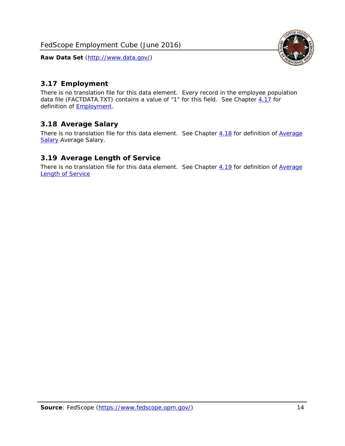<span id="page-14-0"></span>

There is no translation file for this data element. Every record in the employee population data file (FACTDATA.TXT) contains a value of "1" for this field. See Chapter [4.17](#page-16-8) for definition of **Employment**.

### <span id="page-14-1"></span>*3.18 Average Salary*

There is no translation file for this data element. See Chapter [4.18](#page-17-1) for definition of [Average](#page-17-1) **[Salary](#page-17-1) [Average Salary.](#page-17-1)** 

#### <span id="page-14-2"></span>*3.19 Average Length of Service*

There is no translation file for this data element. See Chapter [4.19](#page-17-2) for definition of [Average](#page-17-2) Length of Service

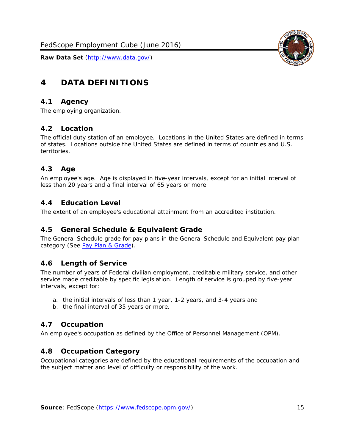

# <span id="page-15-0"></span>**4 DATA DEFINITIONS**

#### <span id="page-15-1"></span>*4.1 Agency*

The employing organization.

# <span id="page-15-2"></span>*4.2 Location*

The official duty station of an employee. Locations in the United States are defined in terms of states. Locations outside the United States are defined in terms of countries and U.S. territories.

### <span id="page-15-3"></span>*4.3 Age*

An employee's age. Age is displayed in five-year intervals, except for an initial interval of less than 20 years and a final interval of 65 years or more.

### <span id="page-15-4"></span>*4.4 Education Level*

The extent of an employee's educational attainment from an accredited institution.

#### <span id="page-15-5"></span>*4.5 General Schedule & Equivalent Grade*

The General Schedule grade for pay plans in the General Schedule and Equivalent pay plan category (See [Pay Plan & Grade](#page-16-0)).

#### <span id="page-15-6"></span>*4.6 Length of Service*

The number of years of Federal civilian employment, creditable military service, and other service made creditable by specific legislation. Length of service is grouped by five-year intervals, except for:

- a. the initial intervals of less than 1 year, 1-2 years, and 3-4 years and
- b. the final interval of 35 years or more.

#### <span id="page-15-7"></span>*4.7 Occupation*

An employee's occupation as defined by the Office of Personnel Management (OPM).

#### <span id="page-15-8"></span>*4.8 Occupation Category*

Occupational categories are defined by the educational requirements of the occupation and the subject matter and level of difficulty or responsibility of the work.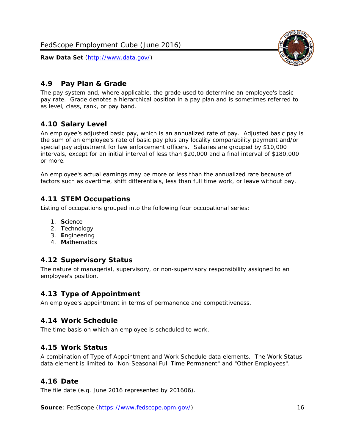

## <span id="page-16-0"></span>*4.9 Pay Plan & Grade*

The pay system and, where applicable, the grade used to determine an employee's basic pay rate. Grade denotes a hierarchical position in a pay plan and is sometimes referred to as level, class, rank, or pay band.

# <span id="page-16-1"></span>*4.10 Salary Level*

An employee's adjusted basic pay, which is an annualized rate of pay. Adjusted basic pay is the sum of an employee's rate of basic pay plus any locality comparability payment and/or special pay adjustment for law enforcement officers. Salaries are grouped by \$10,000 intervals, except for an initial interval of less than \$20,000 and a final interval of \$180,000 or more.

An employee's actual earnings may be more or less than the annualized rate because of factors such as overtime, shift differentials, less than full time work, or leave without pay.

### <span id="page-16-2"></span>*4.11 STEM Occupations*

Listing of occupations grouped into the following four occupational series:

- 1. **S**cience
- 2. **T**echnology
- 3. **E**ngineering
- 4. **M**athematics

#### <span id="page-16-3"></span>*4.12 Supervisory Status*

The nature of managerial, supervisory, or non-supervisory responsibility assigned to an employee's position.

#### <span id="page-16-4"></span>*4.13 Type of Appointment*

An employee's appointment in terms of permanence and competitiveness.

#### <span id="page-16-5"></span>*4.14 Work Schedule*

The time basis on which an employee is scheduled to work.

#### <span id="page-16-6"></span>*4.15 Work Status*

A combination of Type of Appointment and Work Schedule data elements. The Work Status data element is limited to "Non-Seasonal Full Time Permanent" and "Other Employees".

#### <span id="page-16-7"></span>*4.16 Date*

<span id="page-16-8"></span>The file date (e.g. June 2016 represented by 201606).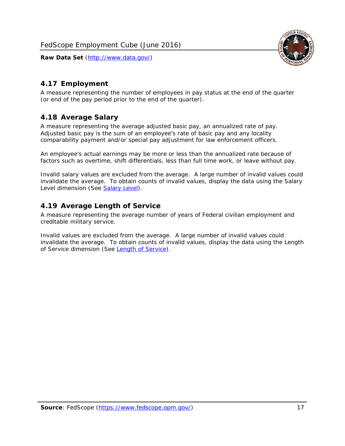

## <span id="page-17-0"></span>*4.17 Employment*

A measure representing the number of employees in pay status at the end of the quarter (or end of the pay period prior to the end of the quarter).

### <span id="page-17-1"></span>*4.18 Average Salary*

A measure representing the average adjusted basic pay, an annualized rate of pay. Adjusted basic pay is the sum of an employee's rate of basic pay and any locality comparability payment and/or special pay adjustment for law enforcement officers.

An employee's actual earnings may be more or less than the annualized rate because of factors such as overtime, shift differentials, less than full time work, or leave without pay.

Invalid salary values are excluded from the average. A large number of invalid values could invalidate the average. To obtain counts of invalid values, display the data using the Salary Level dimension (See [Salary Level\)](#page-16-1).

### <span id="page-17-2"></span>*4.19 Average Length of Service*

A measure representing the average number of years of Federal civilian employment and creditable military service.

Invalid values are excluded from the average. A large number of invalid values could invalidate the average. To obtain counts of invalid values, display the data using the Length of Service dimension (See [Length of Service](#page-15-6)).